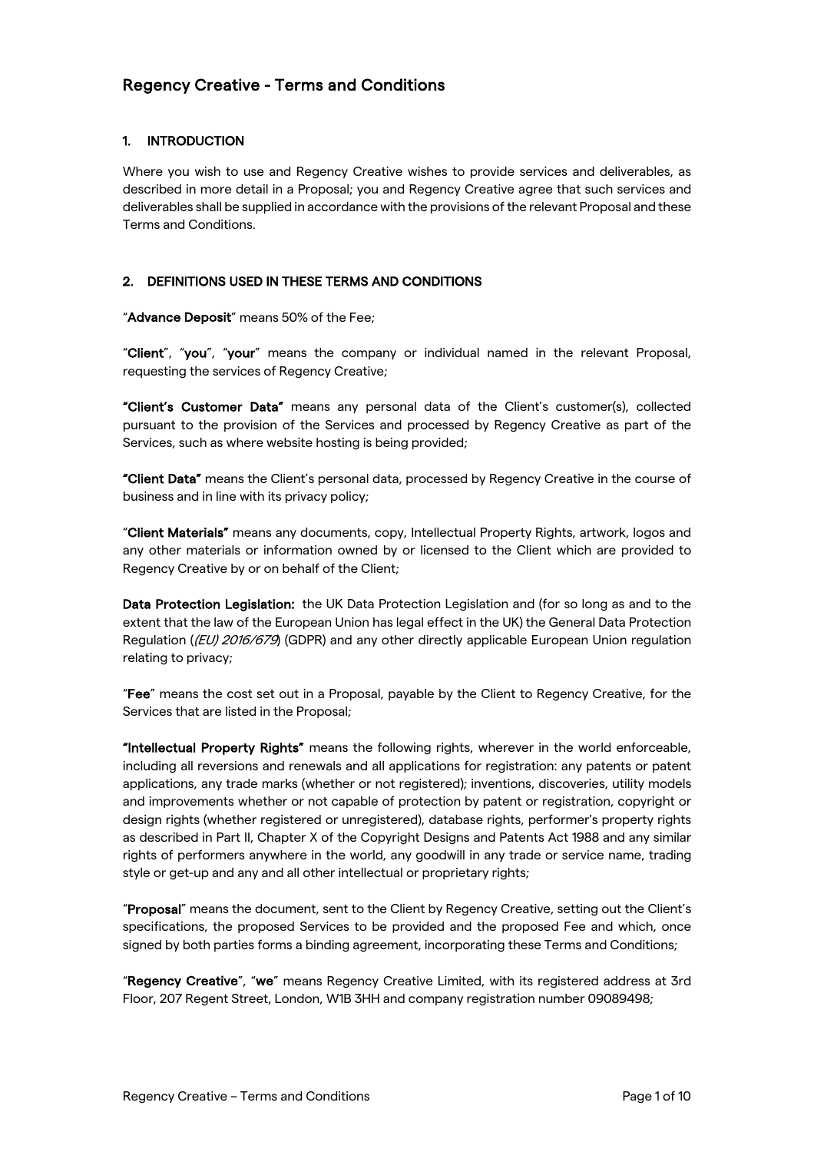# Regency Creative - Terms and Conditions

# 1. INTRODUCTION

Where you wish to use and Regency Creative wishes to provide services and deliverables, as described in more detail in a Proposal; you and Regency Creative agree that such services and deliverables shall be supplied in accordance with the provisions of the relevant Proposal and these Terms and Conditions.

# 2. DEFINITIONS USED IN THESE TERMS AND CONDITIONS

"Advance Deposit" means 50% of the Fee;

"Client", "you", "your" means the company or individual named in the relevant Proposal, requesting the services of Regency Creative;

"Client's Customer Data" means any personal data of the Client's customer(s), collected pursuant to the provision of the Services and processed by Regency Creative as part of the Services, such as where website hosting is being provided;

"Client Data" means the Client's personal data, processed by Regency Creative in the course of business and in line with its privacy policy;

"Client Materials" means any documents, copy, Intellectual Property Rights, artwork, logos and any other materials or information owned by or licensed to the Client which are provided to Regency Creative by or on behalf of the Client;

Data Protection Legislation: the UK Data Protection Legislation and (for so long as and to the extent that the law of the European Union has legal effect in the UK) the General Data Protection Regulation ((EU) 2016/679) (GDPR) and any other directly applicable European Union regulation relating to privacy;

"Fee" means the cost set out in a Proposal, payable by the Client to Regency Creative, for the Services that are listed in the Proposal;

"Intellectual Property Rights" means the following rights, wherever in the world enforceable, including all reversions and renewals and all applications for registration: any patents or patent applications, any trade marks (whether or not registered); inventions, discoveries, utility models and improvements whether or not capable of protection by patent or registration, copyright or design rights (whether registered or unregistered), database rights, performer's property rights as described in Part II, Chapter X of the Copyright Designs and Patents Act 1988 and any similar rights of performers anywhere in the world, any goodwill in any trade or service name, trading style or get-up and any and all other intellectual or proprietary rights;

"Proposal" means the document, sent to the Client by Regency Creative, setting out the Client's specifications, the proposed Services to be provided and the proposed Fee and which, once signed by both parties forms a binding agreement, incorporating these Terms and Conditions;

"Regency Creative", "we" means Regency Creative Limited, with its registered address at 3rd Floor, 207 Regent Street, London, W1B 3HH and company registration number 09089498;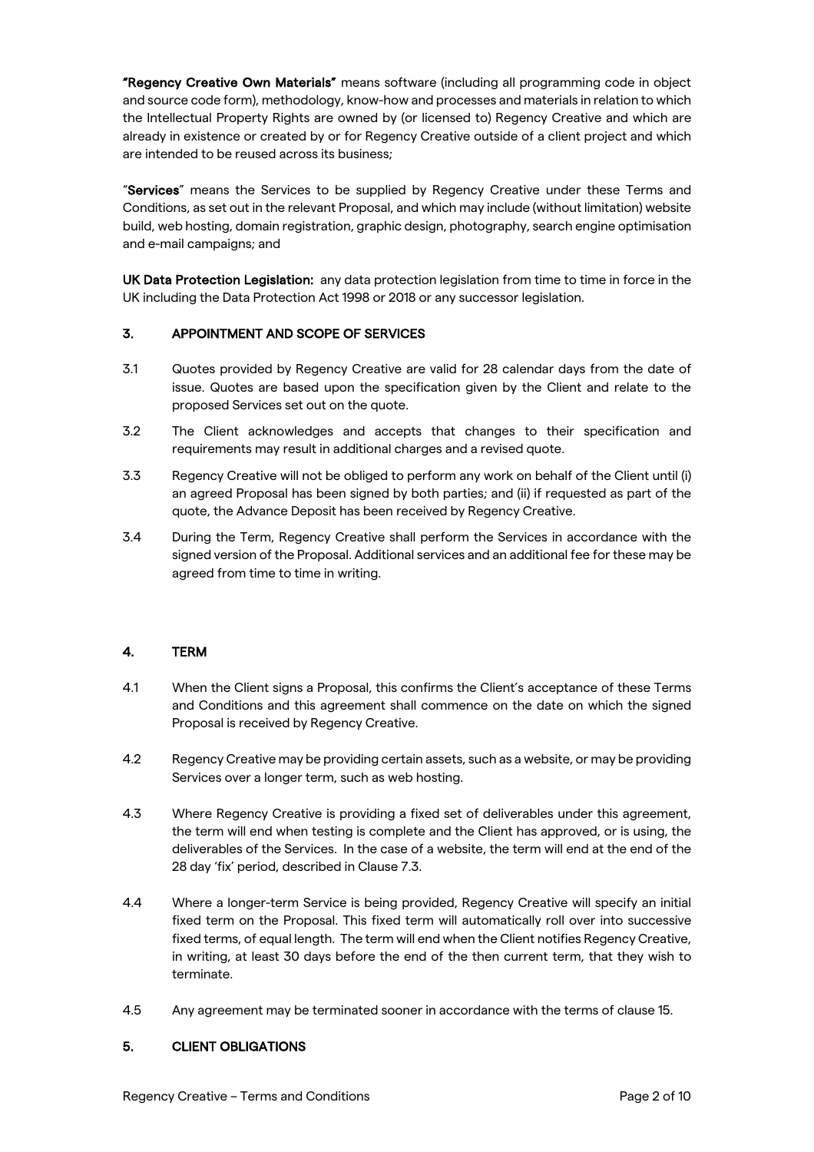"Regency Creative Own Materials" means software (including all programming code in object and source code form), methodology, know-how and processes and materials in relation to which the Intellectual Property Rights are owned by (or licensed to) Regency Creative and which are already in existence or created by or for Regency Creative outside of a client project and which are intended to be reused across its business;

"Services" means the Services to be supplied by Regency Creative under these Terms and Conditions, as set out in the relevant Proposal, and which may include (without limitation) website build, web hosting, domain registration, graphic design, photography, search engine optimisation and e-mail campaigns; and

UK Data Protection Legislation: any data protection legislation from time to time in force in the UK including the Data Protection Act 1998 or 2018 or any successor legislation.

## 3. APPOINTMENT AND SCOPE OF SERVICES

- 3.1 Quotes provided by Regency Creative are valid for 28 calendar days from the date of issue. Quotes are based upon the specification given by the Client and relate to the proposed Services set out on the quote.
- 3.2 The Client acknowledges and accepts that changes to their specification and requirements may result in additional charges and a revised quote.
- 3.3 Regency Creative will not be obliged to perform any work on behalf of the Client until (i) an agreed Proposal has been signed by both parties; and (ii) if requested as part of the quote, the Advance Deposit has been received by Regency Creative.
- 3.4 During the Term, Regency Creative shall perform the Services in accordance with the signed version of the Proposal. Additional services and an additional fee for these may be agreed from time to time in writing.

# 4. TERM

- 4.1 When the Client signs a Proposal, this confirms the Client's acceptance of these Terms and Conditions and this agreement shall commence on the date on which the signed Proposal is received by Regency Creative.
- 4.2 Regency Creative may be providing certain assets, such as a website, or may be providing Services over a longer term, such as web hosting.
- 4.3 Where Regency Creative is providing a fixed set of deliverables under this agreement, the term will end when testing is complete and the Client has approved, or is using, the deliverables of the Services. In the case of a website, the term will end at the end of the 28 day 'fix' period, described in Clause 7.3.
- 4.4 Where a longer-term Service is being provided, Regency Creative will specify an initial fixed term on the Proposal. This fixed term will automatically roll over into successive fixed terms, of equal length. The term will end when the Client notifies Regency Creative, in writing, at least 30 days before the end of the then current term, that they wish to terminate.
- 4.5 Any agreement may be terminated sooner in accordance with the terms of clause 15.

## 5. CLIENT OBLIGATIONS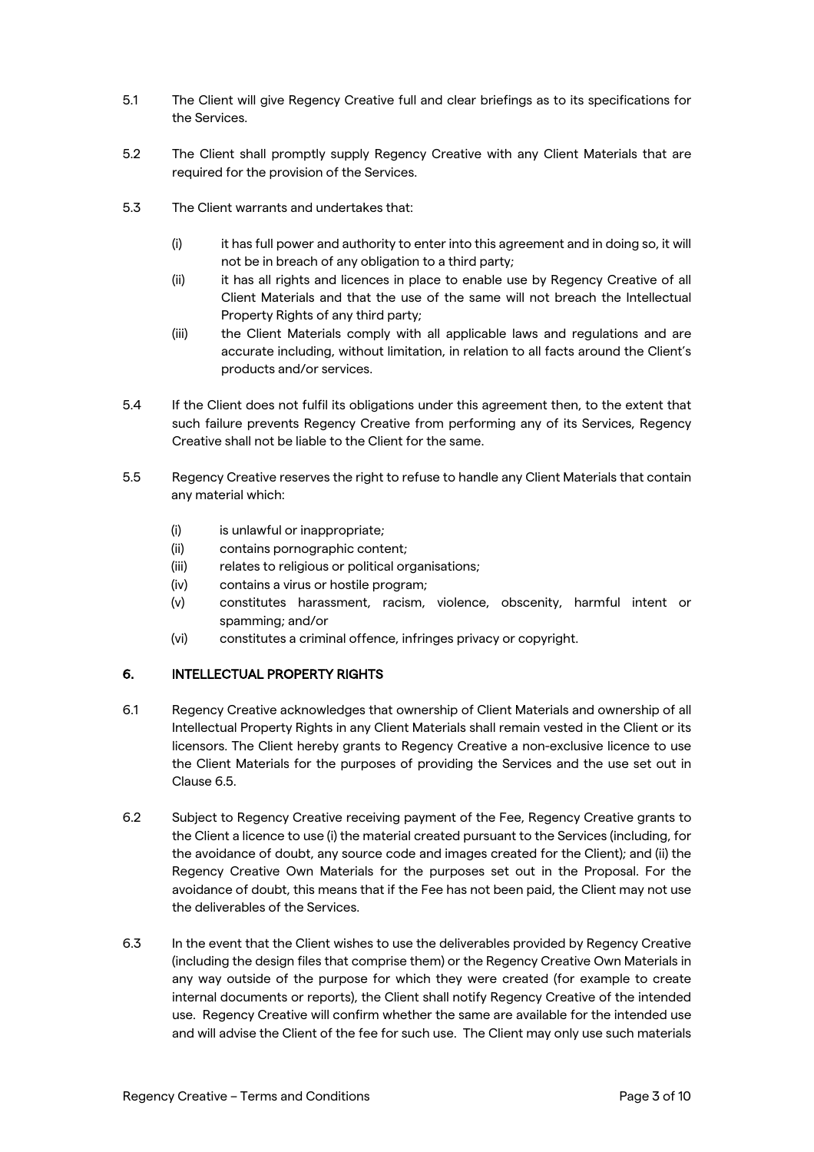- 5.1 The Client will give Regency Creative full and clear briefings as to its specifications for the Services.
- 5.2 The Client shall promptly supply Regency Creative with any Client Materials that are required for the provision of the Services.
- 5.3 The Client warrants and undertakes that:
	- (i) it has full power and authority to enter into this agreement and in doing so, it will not be in breach of any obligation to a third party;
	- (ii) it has all rights and licences in place to enable use by Regency Creative of all Client Materials and that the use of the same will not breach the Intellectual Property Rights of any third party;
	- (iii) the Client Materials comply with all applicable laws and regulations and are accurate including, without limitation, in relation to all facts around the Client's products and/or services.
- 5.4 If the Client does not fulfil its obligations under this agreement then, to the extent that such failure prevents Regency Creative from performing any of its Services, Regency Creative shall not be liable to the Client for the same.
- 5.5 Regency Creative reserves the right to refuse to handle any Client Materials that contain any material which:
	- (i) is unlawful or inappropriate;
	- (ii) contains pornographic content;
	- (iii) relates to religious or political organisations;
	- (iv) contains a virus or hostile program;
	- (v) constitutes harassment, racism, violence, obscenity, harmful intent or spamming; and/or
	- (vi) constitutes a criminal offence, infringes privacy or copyright.

# 6. INTELLECTUAL PROPERTY RIGHTS

- 6.1 Regency Creative acknowledges that ownership of Client Materials and ownership of all Intellectual Property Rights in any Client Materials shall remain vested in the Client or its licensors. The Client hereby grants to Regency Creative a non-exclusive licence to use the Client Materials for the purposes of providing the Services and the use set out in Clause 6.5.
- 6.2 Subject to Regency Creative receiving payment of the Fee, Regency Creative grants to the Client a licence to use (i) the material created pursuant to the Services (including, for the avoidance of doubt, any source code and images created for the Client); and (ii) the Regency Creative Own Materials for the purposes set out in the Proposal. For the avoidance of doubt, this means that if the Fee has not been paid, the Client may not use the deliverables of the Services.
- 6.3 In the event that the Client wishes to use the deliverables provided by Regency Creative (including the design files that comprise them) or the Regency Creative Own Materials in any way outside of the purpose for which they were created (for example to create internal documents or reports), the Client shall notify Regency Creative of the intended use. Regency Creative will confirm whether the same are available for the intended use and will advise the Client of the fee for such use. The Client may only use such materials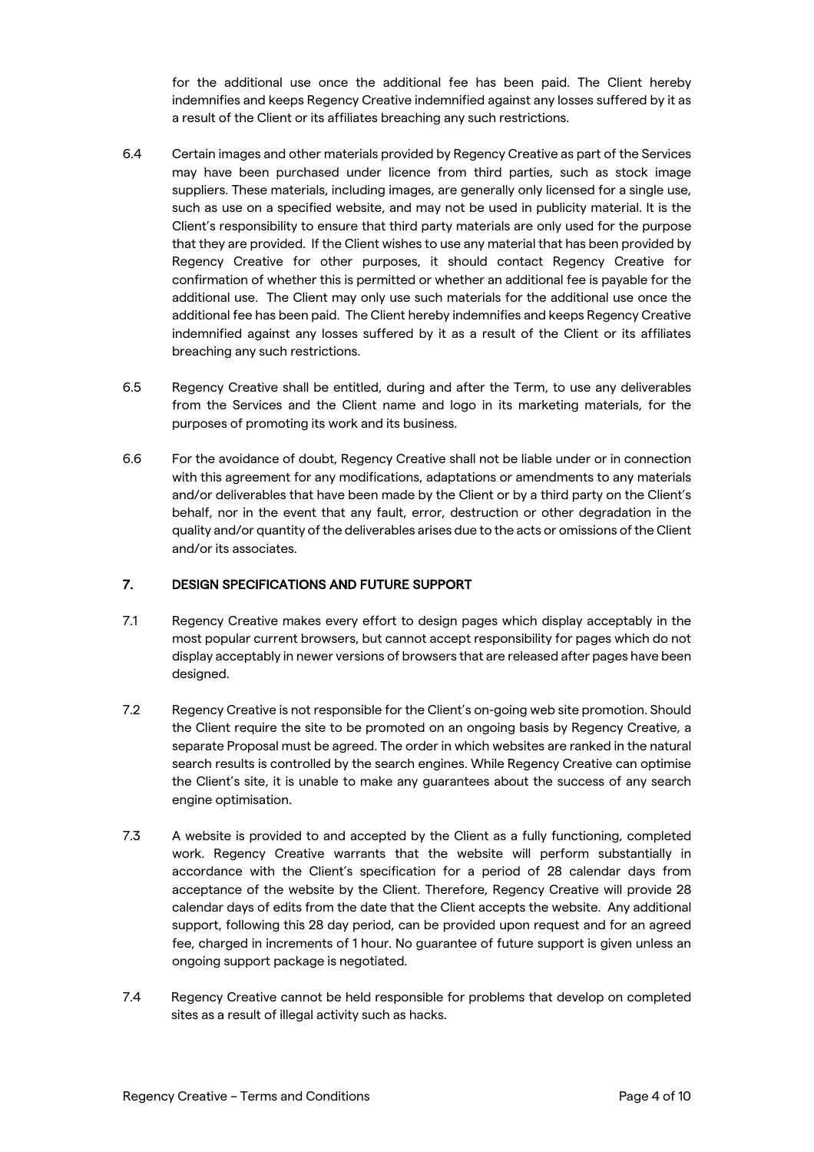for the additional use once the additional fee has been paid. The Client hereby indemnifies and keeps Regency Creative indemnified against any losses suffered by it as a result of the Client or its affiliates breaching any such restrictions.

- 6.4 Certain images and other materials provided by Regency Creative as part of the Services may have been purchased under licence from third parties, such as stock image suppliers. These materials, including images, are generally only licensed for a single use, such as use on a specified website, and may not be used in publicity material. It is the Client's responsibility to ensure that third party materials are only used for the purpose that they are provided. If the Client wishes to use any material that has been provided by Regency Creative for other purposes, it should contact Regency Creative for confirmation of whether this is permitted or whether an additional fee is payable for the additional use. The Client may only use such materials for the additional use once the additional fee has been paid. The Client hereby indemnifies and keeps Regency Creative indemnified against any losses suffered by it as a result of the Client or its affiliates breaching any such restrictions.
- 6.5 Regency Creative shall be entitled, during and after the Term, to use any deliverables from the Services and the Client name and logo in its marketing materials, for the purposes of promoting its work and its business.
- 6.6 For the avoidance of doubt, Regency Creative shall not be liable under or in connection with this agreement for any modifications, adaptations or amendments to any materials and/or deliverables that have been made by the Client or by a third party on the Client's behalf, nor in the event that any fault, error, destruction or other degradation in the quality and/or quantity of the deliverables arises due to the acts or omissions of the Client and/or its associates.

## 7. DESIGN SPECIFICATIONS AND FUTURE SUPPORT

- 7.1 Regency Creative makes every effort to design pages which display acceptably in the most popular current browsers, but cannot accept responsibility for pages which do not display acceptably in newer versions of browsers that are released after pages have been designed.
- 7.2 Regency Creative is not responsible for the Client's on-going web site promotion. Should the Client require the site to be promoted on an ongoing basis by Regency Creative, a separate Proposal must be agreed. The order in which websites are ranked in the natural search results is controlled by the search engines. While Regency Creative can optimise the Client's site, it is unable to make any guarantees about the success of any search engine optimisation.
- 7.3 A website is provided to and accepted by the Client as a fully functioning, completed work. Regency Creative warrants that the website will perform substantially in accordance with the Client's specification for a period of 28 calendar days from acceptance of the website by the Client. Therefore, Regency Creative will provide 28 calendar days of edits from the date that the Client accepts the website. Any additional support, following this 28 day period, can be provided upon request and for an agreed fee, charged in increments of 1 hour. No guarantee of future support is given unless an ongoing support package is negotiated.
- 7.4 Regency Creative cannot be held responsible for problems that develop on completed sites as a result of illegal activity such as hacks.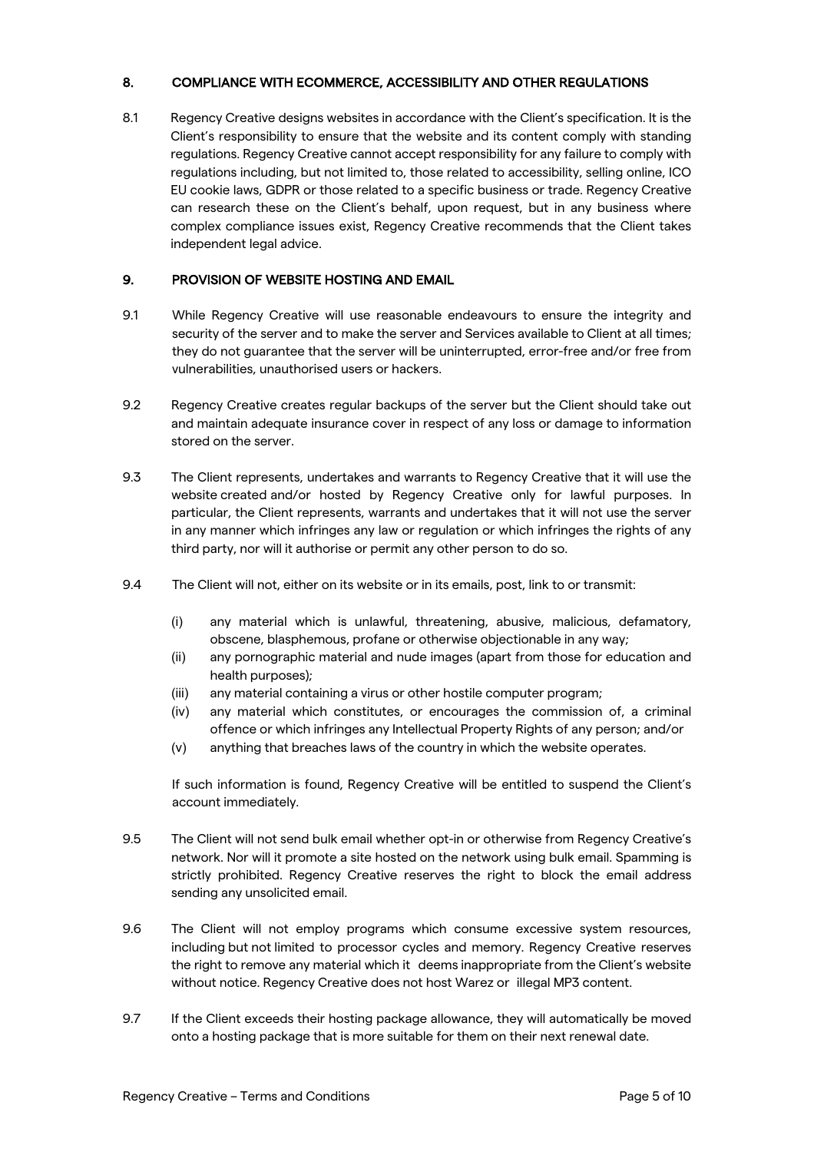# 8. COMPLIANCE WITH ECOMMERCE, ACCESSIBILITY AND OTHER REGULATIONS

8.1 Regency Creative designs websites in accordance with the Client's specification. It is the Client's responsibility to ensure that the website and its content comply with standing regulations. Regency Creative cannot accept responsibility for any failure to comply with regulations including, but not limited to, those related to accessibility, selling online, ICO EU cookie laws, GDPR or those related to a specific business or trade. Regency Creative can research these on the Client's behalf, upon request, but in any business where complex compliance issues exist, Regency Creative recommends that the Client takes independent legal advice.

# 9. PROVISION OF WEBSITE HOSTING AND EMAIL

- 9.1 While Regency Creative will use reasonable endeavours to ensure the integrity and security of the server and to make the server and Services available to Client at all times; they do not guarantee that the server will be uninterrupted, error-free and/or free from vulnerabilities, unauthorised users or hackers.
- 9.2 Regency Creative creates regular backups of the server but the Client should take out and maintain adequate insurance cover in respect of any loss or damage to information stored on the server.
- 9.3 The Client represents, undertakes and warrants to Regency Creative that it will use the website created and/or hosted by Regency Creative only for lawful purposes. In particular, the Client represents, warrants and undertakes that it will not use the server in any manner which infringes any law or regulation or which infringes the rights of any third party, nor will it authorise or permit any other person to do so.
- 9.4 The Client will not, either on its website or in its emails, post, link to or transmit:
	- (i) any material which is unlawful, threatening, abusive, malicious, defamatory, obscene, blasphemous, profane or otherwise objectionable in any way;
	- (ii) any pornographic material and nude images (apart from those for education and health purposes);
	- (iii) any material containing a virus or other hostile computer program;
	- (iv) any material which constitutes, or encourages the commission of, a criminal offence or which infringes any Intellectual Property Rights of any person; and/or
	- (v) anything that breaches laws of the country in which the website operates.

If such information is found, Regency Creative will be entitled to suspend the Client's account immediately.

- 9.5 The Client will not send bulk email whether opt-in or otherwise from Regency Creative's network. Nor will it promote a site hosted on the network using bulk email. Spamming is strictly prohibited. Regency Creative reserves the right to block the email address sending any unsolicited email.
- 9.6 The Client will not employ programs which consume excessive system resources, including but not limited to processor cycles and memory. Regency Creative reserves the right to remove any material which it deems inappropriate from the Client's website without notice. Regency Creative does not host Warez or illegal MP3 content.
- 9.7 If the Client exceeds their hosting package allowance, they will automatically be moved onto a hosting package that is more suitable for them on their next renewal date.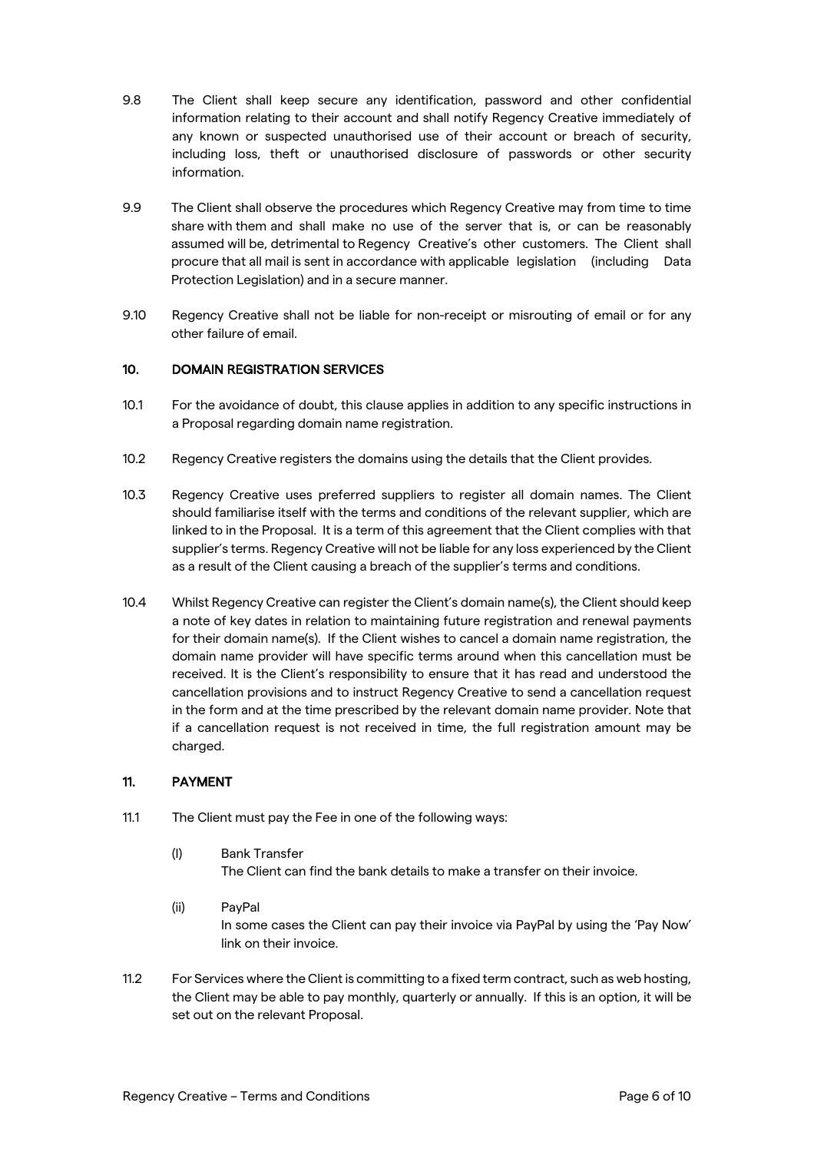- 9.8 The Client shall keep secure any identification, password and other confidential information relating to their account and shall notify Regency Creative immediately of any known or suspected unauthorised use of their account or breach of security, including loss, theft or unauthorised disclosure of passwords or other security information.
- 9.9 The Client shall observe the procedures which Regency Creative may from time to time share with them and shall make no use of the server that is, or can be reasonably assumed will be, detrimental to Regency Creative's other customers. The Client shall procure that all mail is sent in accordance with applicable legislation (including Data Protection Legislation) and in a secure manner.
- 9.10 Regency Creative shall not be liable for non-receipt or misrouting of email or for any other failure of email.

#### 10. DOMAIN REGISTRATION SERVICES

- 10.1 For the avoidance of doubt, this clause applies in addition to any specific instructions in a Proposal regarding domain name registration.
- 10.2 Regency Creative registers the domains using the details that the Client provides.
- 10.3 Regency Creative uses preferred suppliers to register all domain names. The Client should familiarise itself with the terms and conditions of the relevant supplier, which are linked to in the Proposal. It is a term of this agreement that the Client complies with that supplier's terms. Regency Creative will not be liable for any loss experienced by the Client as a result of the Client causing a breach of the supplier's terms and conditions.
- 10.4 Whilst Regency Creative can register the Client's domain name(s), the Client should keep a note of key dates in relation to maintaining future registration and renewal payments for their domain name(s). If the Client wishes to cancel a domain name registration, the domain name provider will have specific terms around when this cancellation must be received. It is the Client's responsibility to ensure that it has read and understood the cancellation provisions and to instruct Regency Creative to send a cancellation request in the form and at the time prescribed by the relevant domain name provider. Note that if a cancellation request is not received in time, the full registration amount may be charged.

## 11. PAYMENT

- 11.1 The Client must pay the Fee in one of the following ways:
	- (I) Bank Transfer The Client can find the bank details to make a transfer on their invoice.
	- (ii) PayPal In some cases the Client can pay their invoice via PayPal by using the 'Pay Now' link on their invoice.
- 11.2 For Services where the Client is committing to a fixed term contract, such as web hosting, the Client may be able to pay monthly, quarterly or annually. If this is an option, it will be set out on the relevant Proposal.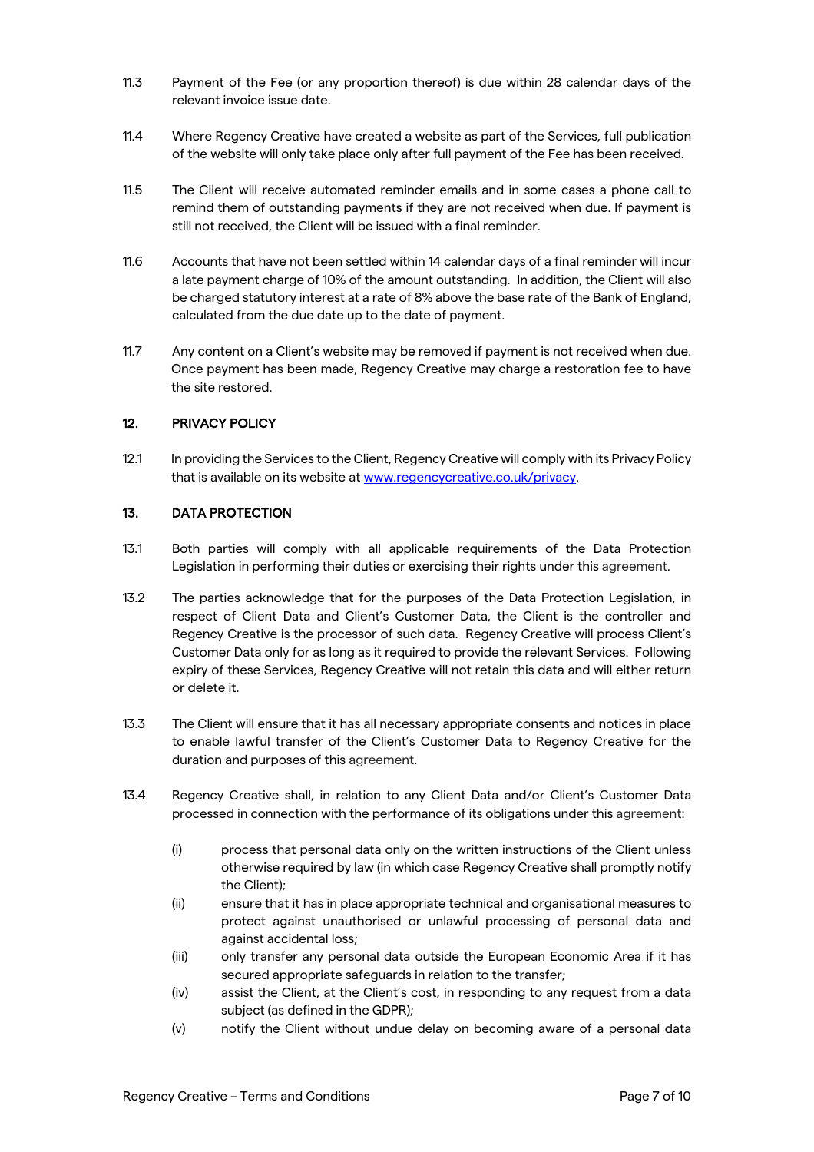- 11.3 Payment of the Fee (or any proportion thereof) is due within 28 calendar days of the relevant invoice issue date.
- 11.4 Where Regency Creative have created a website as part of the Services, full publication of the website will only take place only after full payment of the Fee has been received.
- 11.5 The Client will receive automated reminder emails and in some cases a phone call to remind them of outstanding payments if they are not received when due. If payment is still not received, the Client will be issued with a final reminder.
- 11.6 Accounts that have not been settled within 14 calendar days of a final reminder will incur a late payment charge of 10% of the amount outstanding. In addition, the Client will also be charged statutory interest at a rate of 8% above the base rate of the Bank of England, calculated from the due date up to the date of payment.
- 11.7 Any content on a Client's website may be removed if payment is not received when due. Once payment has been made, Regency Creative may charge a restoration fee to have the site restored.

# 12. PRIVACY POLICY

12.1 In providing the Services to the Client, Regency Creative will comply with its Privacy Policy that is available on its website at www.regencycreative.co.uk/privacy.

# 13. DATA PROTECTION

- 13.1 Both parties will comply with all applicable requirements of the Data Protection Legislation in performing their duties or exercising their rights under this agreement.
- 13.2 The parties acknowledge that for the purposes of the Data Protection Legislation, in respect of Client Data and Client's Customer Data, the Client is the controller and Regency Creative is the processor of such data. Regency Creative will process Client's Customer Data only for as long as it required to provide the relevant Services. Following expiry of these Services, Regency Creative will not retain this data and will either return or delete it.
- 13.3 The Client will ensure that it has all necessary appropriate consents and notices in place to enable lawful transfer of the Client's Customer Data to Regency Creative for the duration and purposes of this agreement.
- 13.4 Regency Creative shall, in relation to any Client Data and/or Client's Customer Data processed in connection with the performance of its obligations under this agreement:
	- (i) process that personal data only on the written instructions of the Client unless otherwise required by law (in which case Regency Creative shall promptly notify the Client);
	- (ii) ensure that it has in place appropriate technical and organisational measures to protect against unauthorised or unlawful processing of personal data and against accidental loss;
	- (iii) only transfer any personal data outside the European Economic Area if it has secured appropriate safeguards in relation to the transfer;
	- (iv) assist the Client, at the Client's cost, in responding to any request from a data subject (as defined in the GDPR);
	- (v) notify the Client without undue delay on becoming aware of a personal data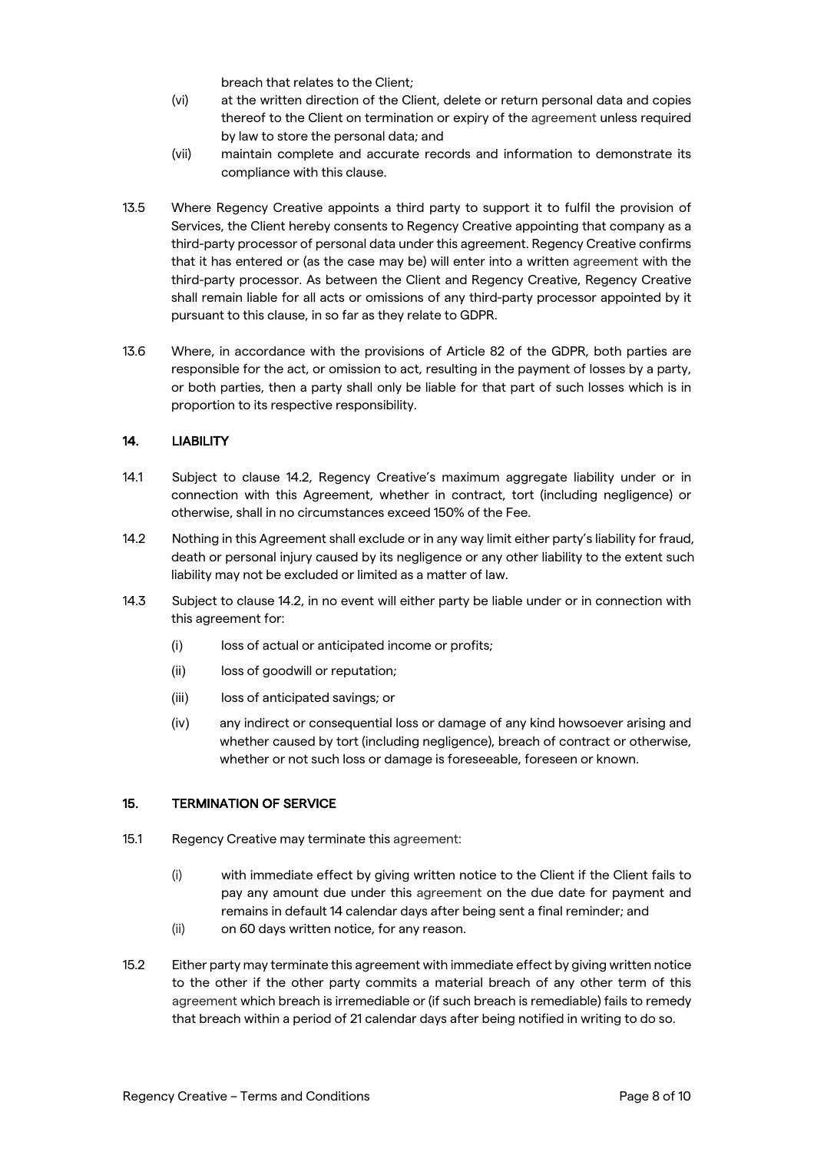breach that relates to the Client;

- (vi) at the written direction of the Client, delete or return personal data and copies thereof to the Client on termination or expiry of the agreement unless required by law to store the personal data; and
- (vii) maintain complete and accurate records and information to demonstrate its compliance with this clause.
- 13.5 Where Regency Creative appoints a third party to support it to fulfil the provision of Services, the Client hereby consents to Regency Creative appointing that company as a third-party processor of personal data under this agreement. Regency Creative confirms that it has entered or (as the case may be) will enter into a written agreement with the third-party processor. As between the Client and Regency Creative, Regency Creative shall remain liable for all acts or omissions of any third-party processor appointed by it pursuant to this clause, in so far as they relate to GDPR.
- 13.6 Where, in accordance with the provisions of Article 82 of the GDPR, both parties are responsible for the act, or omission to act, resulting in the payment of losses by a party, or both parties, then a party shall only be liable for that part of such losses which is in proportion to its respective responsibility.

#### 14. LIABILITY

- 14.1 Subject to clause 14.2, Regency Creative's maximum aggregate liability under or in connection with this Agreement, whether in contract, tort (including negligence) or otherwise, shall in no circumstances exceed 150% of the Fee.
- 14.2 Nothing in this Agreement shall exclude or in any way limit either party's liability for fraud, death or personal injury caused by its negligence or any other liability to the extent such liability may not be excluded or limited as a matter of law.
- 14.3 Subject to clause 14.2, in no event will either party be liable under or in connection with this agreement for:
	- (i) loss of actual or anticipated income or profits;
	- (ii) loss of goodwill or reputation;
	- (iii) loss of anticipated savings; or
	- (iv) any indirect or consequential loss or damage of any kind howsoever arising and whether caused by tort (including negligence), breach of contract or otherwise, whether or not such loss or damage is foreseeable, foreseen or known.

## 15. TERMINATION OF SERVICE

- 15.1 Regency Creative may terminate this agreement:
	- (i) with immediate effect by giving written notice to the Client if the Client fails to pay any amount due under this agreement on the due date for payment and remains in default 14 calendar days after being sent a final reminder; and
	- (ii) on 60 days written notice, for any reason.
- 15.2 Either party may terminate this agreement with immediate effect by giving written notice to the other if the other party commits a material breach of any other term of this agreement which breach is irremediable or (if such breach is remediable) fails to remedy that breach within a period of 21 calendar days after being notified in writing to do so.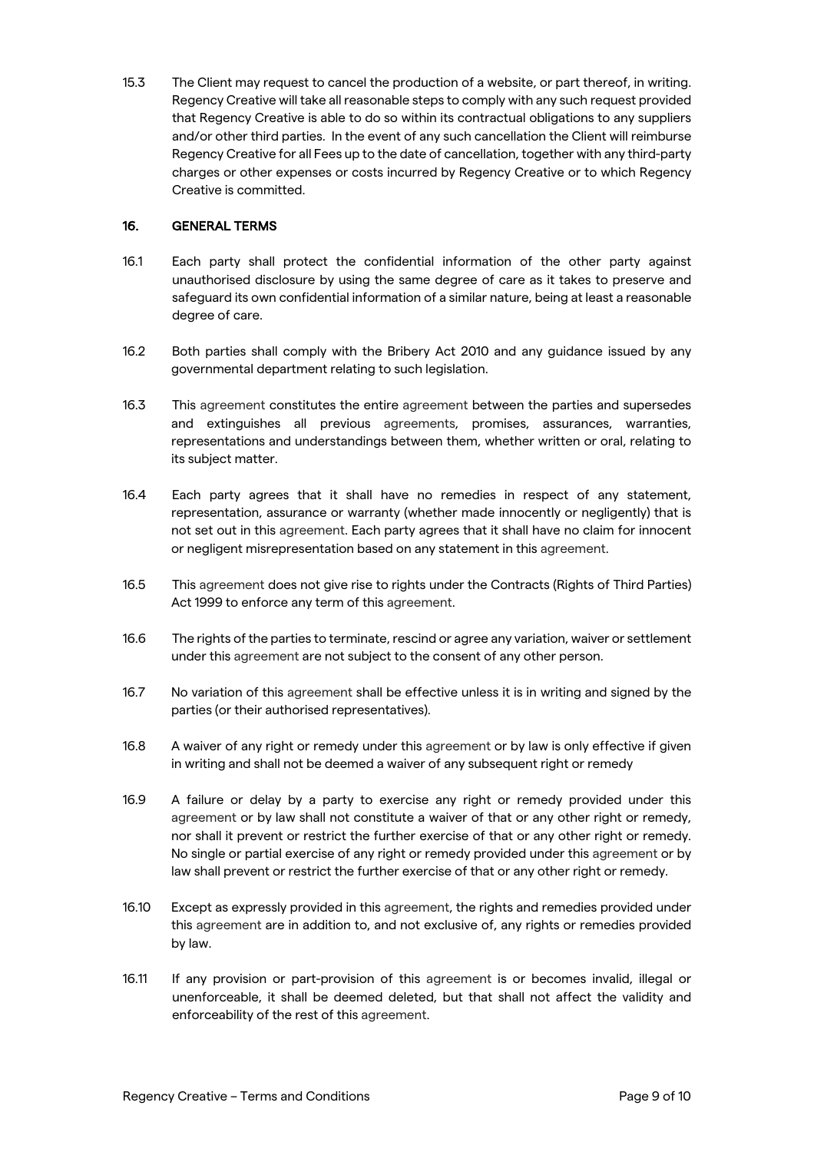15.3 The Client may request to cancel the production of a website, or part thereof, in writing. Regency Creative will take all reasonable steps to comply with any such request provided that Regency Creative is able to do so within its contractual obligations to any suppliers and/or other third parties. In the event of any such cancellation the Client will reimburse Regency Creative for all Fees up to the date of cancellation, together with any third-party charges or other expenses or costs incurred by Regency Creative or to which Regency Creative is committed.

## 16. GENERAL TERMS

- 16.1 Each party shall protect the confidential information of the other party against unauthorised disclosure by using the same degree of care as it takes to preserve and safeguard its own confidential information of a similar nature, being at least a reasonable degree of care.
- 16.2 Both parties shall comply with the Bribery Act 2010 and any guidance issued by any governmental department relating to such legislation.
- 16.3 This agreement constitutes the entire agreement between the parties and supersedes and extinguishes all previous agreements, promises, assurances, warranties, representations and understandings between them, whether written or oral, relating to its subject matter.
- 16.4 Each party agrees that it shall have no remedies in respect of any statement, representation, assurance or warranty (whether made innocently or negligently) that is not set out in this agreement. Each party agrees that it shall have no claim for innocent or negligent misrepresentation based on any statement in this agreement.
- 16.5 This agreement does not give rise to rights under the Contracts (Rights of Third Parties) Act 1999 to enforce any term of this agreement.
- 16.6 The rights of the parties to terminate, rescind or agree any variation, waiver or settlement under this agreement are not subject to the consent of any other person.
- 16.7 No variation of this agreement shall be effective unless it is in writing and signed by the parties (or their authorised representatives).
- 16.8 A waiver of any right or remedy under this agreement or by law is only effective if given in writing and shall not be deemed a waiver of any subsequent right or remedy
- 16.9 A failure or delay by a party to exercise any right or remedy provided under this agreement or by law shall not constitute a waiver of that or any other right or remedy, nor shall it prevent or restrict the further exercise of that or any other right or remedy. No single or partial exercise of any right or remedy provided under this agreement or by law shall prevent or restrict the further exercise of that or any other right or remedy.
- 16.10 Except as expressly provided in this agreement, the rights and remedies provided under this agreement are in addition to, and not exclusive of, any rights or remedies provided by law.
- 16.11 If any provision or part-provision of this agreement is or becomes invalid, illegal or unenforceable, it shall be deemed deleted, but that shall not affect the validity and enforceability of the rest of this agreement.